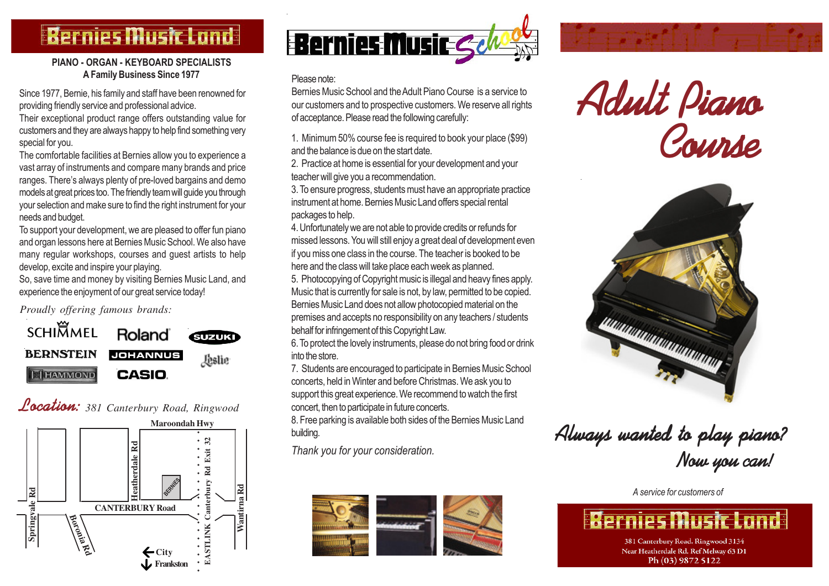# **Bernies Music Land**

### PIANO - ORGAN - KEYBOARD SPECIALISTS A Family Business Since 1977

Since 1977, Bernie, his family and staff have been renowned for providing friendly service and professional advice.

Their exceptional product range offers outstanding value for customers and they are always happy to help find something very special for you.

The comfortable facilities at Bernies allow you to experience a vast array of instruments and compare many brands and price ranges. There's always plenty of pre-loved bargains and demo models at great prices too. The friendly team will guide you through your selection and make sure to find the right instrument for your needs and budget.

To support your development, we are pleased to offer fun piano and organ lessons here at Bernies Music School. We also have many regular workshops, courses and guest artists to help develop, excite and inspire your playing.

So, save time and money by visiting Bernies Music Land, and experience the enjoyment of our great service today!

*Proudly offering famous brands:*



Location: *381 Canterbury Road, Ringwood*





#### Please note:

Bernies Music School and the Adult Piano Course is a service to our customers and to prospective customers. We reserve all rights of acceptance. Please read the following carefully:

1. Minimum 50% course fee is required to book your place (\$99) and the balance is due on the start date.

2. Practice at home is essential for your development and your teacher will give you a recommendation.

3. To ensure progress, students must have an appropriate practice instrument at home. Bernies Music Land offers special rental packages to help.

4. Unfortunately we are not able to provide credits or refunds for missed lessons. You will still enjoy a great deal of development even if you miss one class in the course. The teacher is booked to be here and the class will take place each week as planned.

5. Photocopying of Copyright music is illegal and heavy fines apply. Music that is currently for sale is not, by law, permitted to be copied. Bernies Music Land does not allow photocopied material on the premises and accepts no responsibility on any teachers / students behalf for infringement of this Copyright Law.

6. To protect the lovely instruments, please do not bring food or drink into the store.

7. Students are encouraged to participate in Bernies Music School concerts, held in Winter and before Christmas. We ask you to support this great experience. We recommend to watch the first concert, then to participate in future concerts.

8. Free parking is available both sides of the Bernies Music Land building.

Thank you for your consideration.







Always wanted to play piano? Now you can!

A service for customers of

**Bernies Music Land** 

381 Canterbury Road. Ringwood 3134 Near Heatherdale Rd. Ref Melway 63 D1 Ph (03) 9872 5122